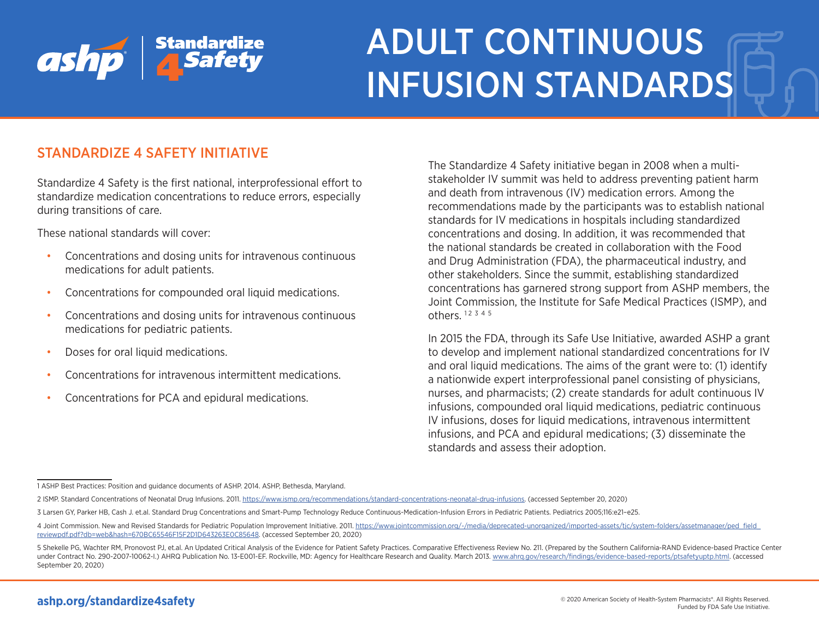

# ADULT CONTINUOUS INFUSION STANDARDS

# STANDARDIZE 4 SAFETY INITIATIVE

Standardize 4 Safety is the first national, interprofessional effort to standardize medication concentrations to reduce errors, especially during transitions of care.

These national standards will cover:

- Concentrations and dosing units for intravenous continuous medications for adult patients.
- Concentrations for compounded oral liquid medications.
- Concentrations and dosing units for intravenous continuous medications for pediatric patients.
- Doses for oral liquid medications.
- Concentrations for intravenous intermittent medications.
- Concentrations for PCA and epidural medications.

The Standardize 4 Safety initiative began in 2008 when a multistakeholder IV summit was held to address preventing patient harm and death from intravenous (IV) medication errors. Among the recommendations made by the participants was to establish national standards for IV medications in hospitals including standardized concentrations and dosing. In addition, it was recommended that the national standards be created in collaboration with the Food and Drug Administration (FDA), the pharmaceutical industry, and other stakeholders. Since the summit, establishing standardized concentrations has garnered strong support from ASHP members, the Joint Commission, the Institute for Safe Medical Practices (ISMP), and others.  $12 \frac{345}{5}$ 

In 2015 the FDA, through its Safe Use Initiative, awarded ASHP a grant to develop and implement national standardized concentrations for IV and oral liquid medications. The aims of the grant were to: (1) identify a nationwide expert interprofessional panel consisting of physicians, nurses, and pharmacists; (2) create standards for adult continuous IV infusions, compounded oral liquid medications, pediatric continuous IV infusions, doses for liquid medications, intravenous intermittent infusions, and PCA and epidural medications; (3) disseminate the standards and assess their adoption.

<sup>1</sup> ASHP Best Practices: Position and guidance documents of ASHP. 2014. ASHP, Bethesda, Maryland.

<sup>2</sup> ISMP. Standard Concentrations of Neonatal Drug Infusions. 2011. <https://www.ismp.org/recommendations/standard-concentrations-neonatal-drug-infusions>. (accessed September 20, 2020)

<sup>3</sup> Larsen GY, Parker HB, Cash J. et.al. Standard Drug Concentrations and Smart-Pump Technology Reduce Continuous-Medication-Infusion Errors in Pediatric Patients. Pediatrics 2005;116:e21–e25.

<sup>4</sup> Joint Commission. New and Revised Standards for Pediatric Population Improvement Initiative. 2011. [https://www.jointcommission.org/-/media/deprecated-unorganized/imported-assets/tjc/system-folders/assetmanager/ped\\_field\\_](https://www.jointcommission.org/-/media/deprecated-unorganized/imported-assets/tjc/system-folders/assetmanager/ped_field_reviewpdf.pdf?db=web&hash=670BC65546F15F2D1D643263E0C85648) [reviewpdf.pdf?db=web&hash=670BC65546F15F2D1D643263E0C85648](https://www.jointcommission.org/-/media/deprecated-unorganized/imported-assets/tjc/system-folders/assetmanager/ped_field_reviewpdf.pdf?db=web&hash=670BC65546F15F2D1D643263E0C85648). (accessed September 20, 2020)

<sup>5</sup> Shekelle PG, Wachter RM, Pronovost PJ, et.al. An Updated Critical Analysis of the Evidence for Patient Safety Practices. Comparative Effectiveness Review No. 211. (Prepared by the Southern California-RAND Evidence-based under Contract No. 290-2007-10062-I.) AHRQ Publication No. 13-E001-EF. Rockville, MD: Agency for Healthcare Research and Quality. March 2013. [www.ahrq.gov/research/findings/evidence-based-reports/ptsafetyuptp.html](http://www.ahrq.gov/research/findings/evidence-based-reports/ptsafetyuptp.html). (accessed September 20, 2020)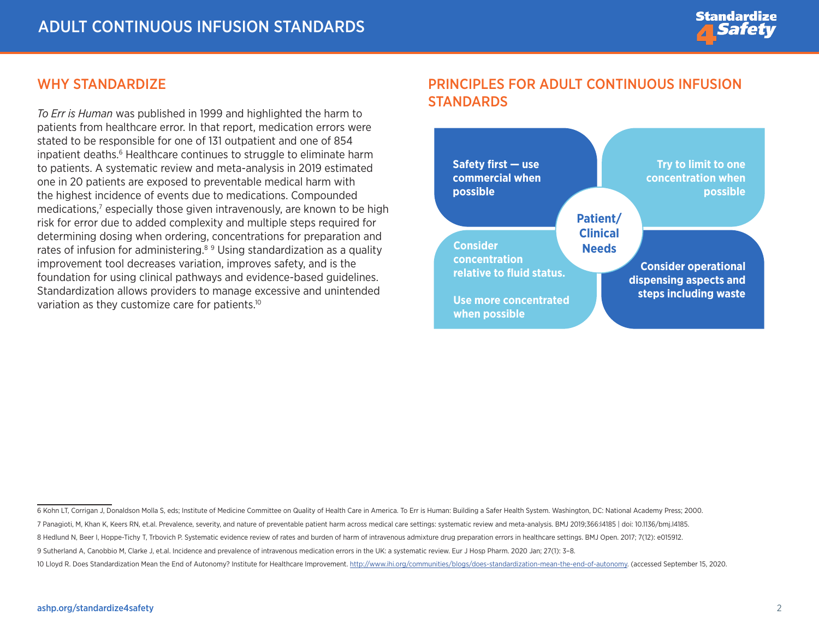## WHY STANDARDIZE

*To Err is Human* was published in 1999 and highlighted the harm to patients from healthcare error. In that report, medication errors were stated to be responsible for one of 131 outpatient and one of 854 inpatient deaths.<sup>6</sup> Healthcare continues to struggle to eliminate harm to patients. A systematic review and meta-analysis in 2019 estimated one in 20 patients are exposed to preventable medical harm with the highest incidence of events due to medications. Compounded medications,<sup>7</sup> especially those given intravenously, are known to be high risk for error due to added complexity and multiple steps required for determining dosing when ordering, concentrations for preparation and rates of infusion for administering.<sup>89</sup> Using standardization as a quality improvement tool decreases variation, improves safety, and is the foundation for using clinical pathways and evidence-based guidelines. Standardization allows providers to manage excessive and unintended variation as they customize care for patients.<sup>10</sup>

# PRINCIPLES FOR ADULT CONTINUOUS INFUSION STANDARDS



<sup>6</sup> Kohn LT, Corrigan J, Donaldson Molla S, eds; Institute of Medicine Committee on Quality of Health Care in America. To Err is Human: Building a Safer Health System. Washington, DC: National Academy Press; 2000.

<sup>7</sup> Panagioti, M, Khan K, Keers RN, et.al. Prevalence, severity, and nature of preventable patient harm across medical care settings: systematic review and meta-analysis. BMJ 2019;366:l4185 | doi: 10.1136/bmj.l4185.

<sup>8</sup> Hedlund N, Beer I, Hoppe-Tichy T, Trbovich P. Systematic evidence review of rates and burden of harm of intravenous admixture drug preparation errors in healthcare settings. BMJ Open. 2017; 7(12): e015912.

<sup>9</sup> Sutherland A, Canobbio M, Clarke J, et.al. Incidence and prevalence of intravenous medication errors in the UK: a systematic review. Eur J Hosp Pharm. 2020 Jan; 27(1): 3–8.

<sup>10</sup> Lloyd R. Does Standardization Mean the End of Autonomy? Institute for Healthcare Improvement. [http://www.ihi.org/communities/blogs/does-standardization-mean-the-end-of-autonomy.](http://www.ihi.org/communities/blogs/does-standardization-mean-the-end-of-autonomy) (accessed September 15, 2020.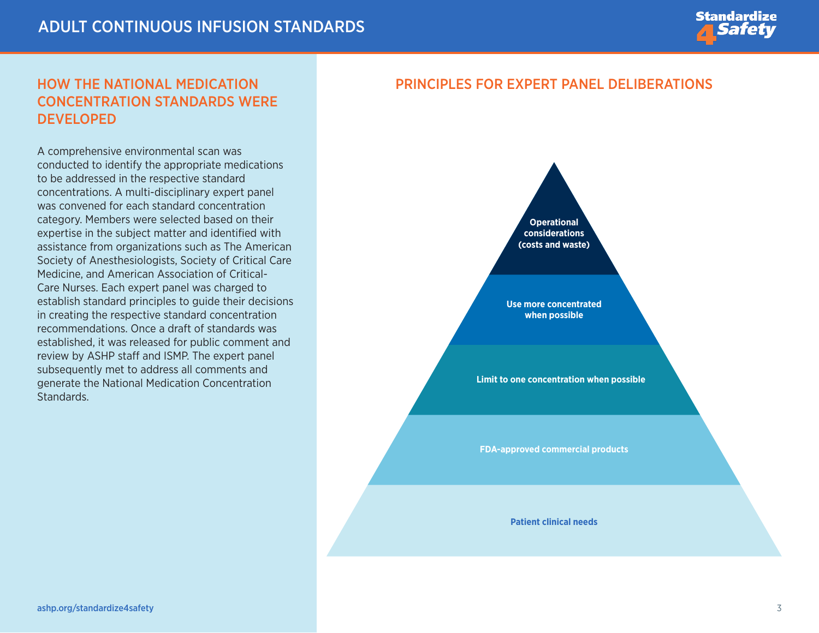

# HOW THE NATIONAL MEDICATION CONCENTRATION STANDARDS WERE **DEVELOPED**

A comprehensive environmental scan was conducted to identify the appropriate medications to be addressed in the respective standard concentrations. A multi-disciplinary expert panel was convened for each standard concentration category. Members were selected based on their expertise in the subject matter and identified with assistance from organizations such as The American Society of Anesthesiologists, Society of Critical Care Medicine, and American Association of Critical-Care Nurses. Each expert panel was charged to establish standard principles to guide their decisions in creating the respective standard concentration recommendations. Once a draft of standards was established, it was released for public comment and review by ASHP staff and ISMP. The expert panel subsequently met to address all comments and generate the National Medication Concentration Standards.

## PRINCIPLES FOR EXPERT PANEL DELIBERATIONS



**Use more concentrated when possible**

**Limit to one concentration when possible**

**FDA-approved commercial products** 

**Patient clinical needs**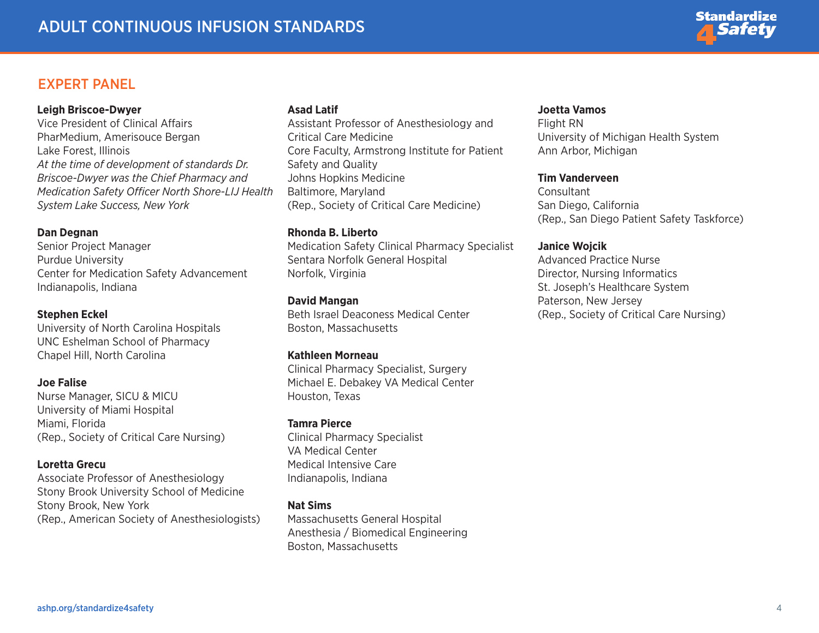

### EXPERT PANEL

#### **Leigh Briscoe-Dwyer**

Vice President of Clinical Affairs PharMedium, Amerisouce Bergan Lake Forest, Illinois *At the time of development of standards Dr. Briscoe-Dwyer was the Chief Pharmacy and Medication Safety Officer North Shore-LIJ Health System Lake Success, New York*

#### **Dan Degnan**

Senior Project Manager Purdue University Center for Medication Safety Advancement Indianapolis, Indiana

#### **Stephen Eckel**

University of North Carolina Hospitals UNC Eshelman School of Pharmacy Chapel Hill, North Carolina

#### **Joe Falise**

Nurse Manager, SICU & MICU University of Miami Hospital Miami, Florida (Rep., Society of Critical Care Nursing)

#### **Loretta Grecu**

Associate Professor of Anesthesiology Stony Brook University School of Medicine Stony Brook, New York (Rep., American Society of Anesthesiologists)

#### **Asad Latif**

Assistant Professor of Anesthesiology and Critical Care Medicine Core Faculty, Armstrong Institute for Patient Safety and Quality Johns Hopkins Medicine Baltimore, Maryland (Rep., Society of Critical Care Medicine)

#### **Rhonda B. Liberto**

Medication Safety Clinical Pharmacy Specialist Sentara Norfolk General Hospital Norfolk, Virginia

#### **David Mangan**

Beth Israel Deaconess Medical Center Boston, Massachusetts

#### **Kathleen Morneau**

Clinical Pharmacy Specialist, Surgery Michael E. Debakey VA Medical Center Houston, Texas

#### **Tamra Pierce**

Clinical Pharmacy Specialist VA Medical Center Medical Intensive Care Indianapolis, Indiana

#### **Nat Sims**

Massachusetts General Hospital Anesthesia / Biomedical Engineering Boston, Massachusetts

#### **Joetta Vamos**

Flight RN University of Michigan Health System Ann Arbor, Michigan

#### **Tim Vanderveen**

**Consultant** San Diego, California (Rep., San Diego Patient Safety Taskforce)

#### **Janice Wojcik**

Advanced Practice Nurse Director, Nursing Informatics St. Joseph's Healthcare System Paterson, New Jersey (Rep., Society of Critical Care Nursing)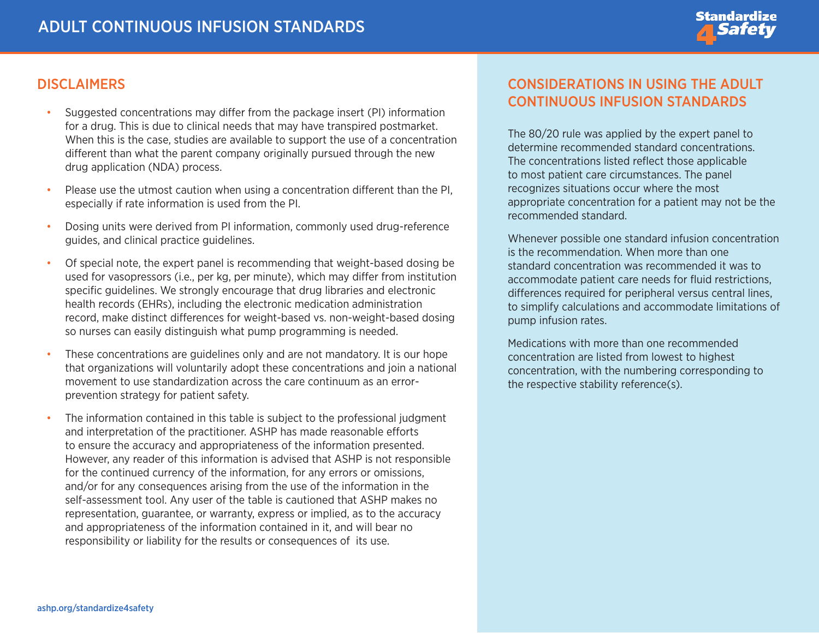

## **DISCLAIMERS**

- Suggested concentrations may differ from the package insert (PI) information for a drug. This is due to clinical needs that may have transpired postmarket. When this is the case, studies are available to support the use of a concentration different than what the parent company originally pursued through the new drug application (NDA) process.
- Please use the utmost caution when using a concentration different than the PI, especially if rate information is used from the PI.
- Dosing units were derived from PI information, commonly used drug-reference guides, and clinical practice guidelines.
- Of special note, the expert panel is recommending that weight-based dosing be used for vasopressors (i.e., per kg, per minute), which may differ from institution specific guidelines. We strongly encourage that drug libraries and electronic health records (EHRs), including the electronic medication administration record, make distinct differences for weight-based vs. non-weight-based dosing so nurses can easily distinguish what pump programming is needed.
- These concentrations are guidelines only and are not mandatory. It is our hope that organizations will voluntarily adopt these concentrations and join a national movement to use standardization across the care continuum as an errorprevention strategy for patient safety.
- The information contained in this table is subject to the professional judgment and interpretation of the practitioner. ASHP has made reasonable efforts to ensure the accuracy and appropriateness of the information presented. However, any reader of this information is advised that ASHP is not responsible for the continued currency of the information, for any errors or omissions, and/or for any consequences arising from the use of the information in the self-assessment tool. Any user of the table is cautioned that ASHP makes no representation, guarantee, or warranty, express or implied, as to the accuracy and appropriateness of the information contained in it, and will bear no responsibility or liability for the results or consequences of its use.

# CONSIDERATIONS IN USING THE ADULT CONTINUOUS INFUSION STANDARDS

The 80/20 rule was applied by the expert panel to determine recommended standard concentrations. The concentrations listed reflect those applicable to most patient care circumstances. The panel recognizes situations occur where the most appropriate concentration for a patient may not be the recommended standard.

Whenever possible one standard infusion concentration is the recommendation. When more than one standard concentration was recommended it was to accommodate patient care needs for fluid restrictions, differences required for peripheral versus central lines, to simplify calculations and accommodate limitations of pump infusion rates.

Medications with more than one recommended concentration are listed from lowest to highest concentration, with the numbering corresponding to the respective stability reference(s).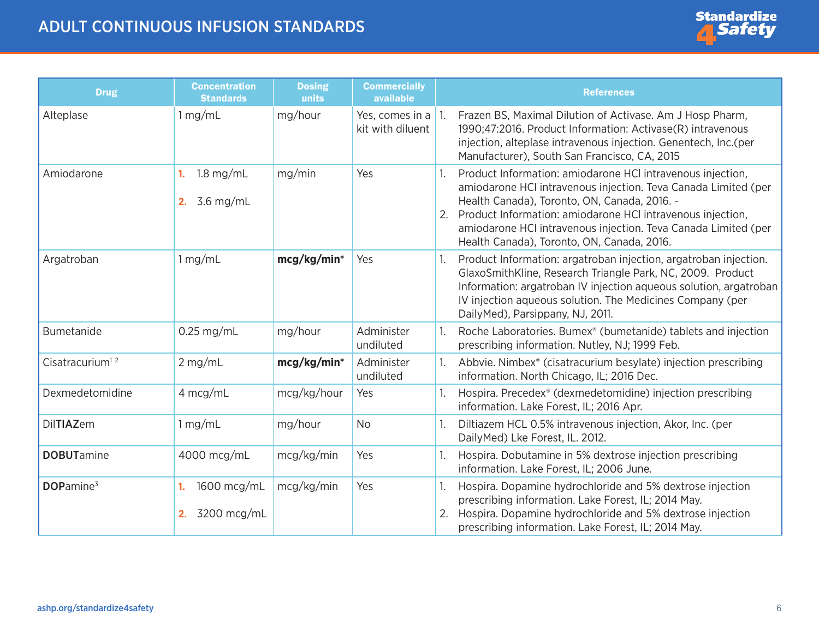<span id="page-5-0"></span>

| <b>Drug</b>                 | <b>Concentration</b><br><b>Standards</b> | <b>Dosing</b><br>units | <b>Commercially</b><br>available           |    | <b>References</b>                                                                                                                                                                                                                                                                                                                                          |
|-----------------------------|------------------------------------------|------------------------|--------------------------------------------|----|------------------------------------------------------------------------------------------------------------------------------------------------------------------------------------------------------------------------------------------------------------------------------------------------------------------------------------------------------------|
| Alteplase                   | 1 mg/mL                                  | mg/hour                | Yes, comes in a $ 1$ .<br>kit with diluent |    | Frazen BS, Maximal Dilution of Activase. Am J Hosp Pharm,<br>1990;47:2016. Product Information: Activase(R) intravenous<br>injection, alteplase intravenous injection. Genentech, Inc. (per<br>Manufacturer), South San Francisco, CA, 2015                                                                                                                |
| Amiodarone                  | $1.8$ mg/mL<br>1.<br>3.6 mg/mL<br>2.     | mg/min                 | Yes                                        |    | Product Information: amiodarone HCI intravenous injection,<br>amiodarone HCI intravenous injection. Teva Canada Limited (per<br>Health Canada), Toronto, ON, Canada, 2016. -<br>Product Information: amiodarone HCI intravenous injection,<br>amiodarone HCI intravenous injection. Teva Canada Limited (per<br>Health Canada), Toronto, ON, Canada, 2016. |
| Argatroban                  | 1 mg/mL                                  | mcg/kg/min*            | Yes                                        |    | Product Information: argatroban injection, argatroban injection.<br>GlaxoSmithKline, Research Triangle Park, NC, 2009. Product<br>Information: argatroban IV injection aqueous solution, argatroban<br>IV injection aqueous solution. The Medicines Company (per<br>DailyMed), Parsippany, NJ, 2011.                                                       |
| <b>Bumetanide</b>           | $0.25$ mg/mL                             | mg/hour                | Administer<br>undiluted                    |    | Roche Laboratories. Bumex <sup>®</sup> (bumetanide) tablets and injection<br>prescribing information. Nutley, NJ; 1999 Feb.                                                                                                                                                                                                                                |
| Cisatracurium <sup>12</sup> | $2$ mg/mL                                | mcg/kg/min*            | Administer<br>undiluted                    |    | Abbvie. Nimbex® (cisatracurium besylate) injection prescribing<br>information. North Chicago, IL; 2016 Dec.                                                                                                                                                                                                                                                |
| Dexmedetomidine             | 4 mcg/mL                                 | mcg/kg/hour            | Yes                                        |    | Hospira. Precedex <sup>®</sup> (dexmedetomidine) injection prescribing<br>information. Lake Forest, IL; 2016 Apr.                                                                                                                                                                                                                                          |
| <b>DilTIAZem</b>            | 1 mg/mL                                  | mg/hour                | <b>No</b>                                  |    | Diltiazem HCL 0.5% intravenous injection, Akor, Inc. (per<br>DailyMed) Lke Forest, IL. 2012.                                                                                                                                                                                                                                                               |
| <b>DOBUTamine</b>           | 4000 mcg/mL                              | mcg/kg/min             | Yes                                        |    | Hospira. Dobutamine in 5% dextrose injection prescribing<br>information. Lake Forest, IL; 2006 June.                                                                                                                                                                                                                                                       |
| DOPamine <sup>3</sup>       | 1600 mcg/mL<br>1.<br>3200 mcg/mL<br>2.   | mcg/kg/min             | Yes                                        | 2. | Hospira. Dopamine hydrochloride and 5% dextrose injection<br>prescribing information. Lake Forest, IL; 2014 May.<br>Hospira. Dopamine hydrochloride and 5% dextrose injection<br>prescribing information. Lake Forest, IL; 2014 May.                                                                                                                       |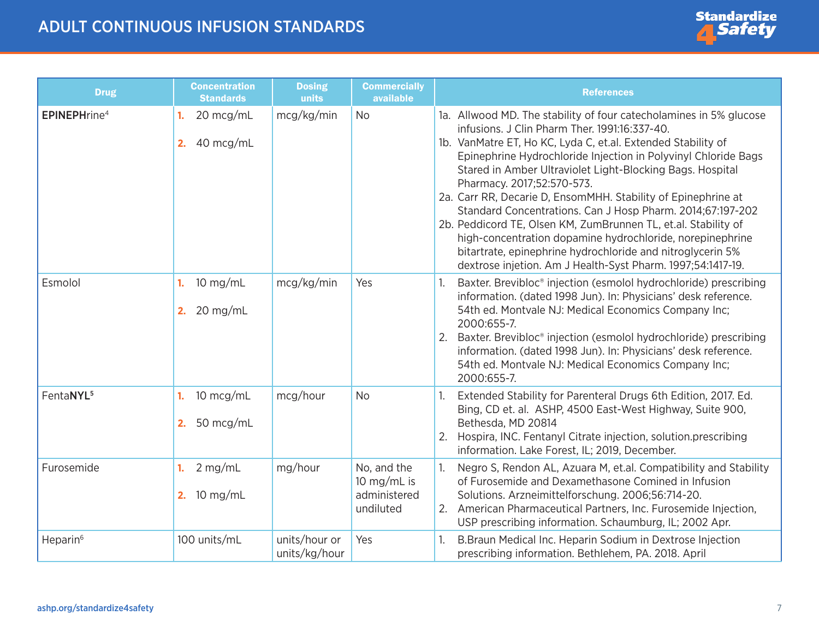<span id="page-6-0"></span>

| <b>Drug</b>              | <b>Concentration</b><br><b>Standards</b> | <b>Dosing</b><br>units         | <b>Commercially</b><br>available                        | <b>References</b>                                                                                                                                                                                                                                                                                                                                                                                                                                                                                                                                                                                                                                                                                                                           |
|--------------------------|------------------------------------------|--------------------------------|---------------------------------------------------------|---------------------------------------------------------------------------------------------------------------------------------------------------------------------------------------------------------------------------------------------------------------------------------------------------------------------------------------------------------------------------------------------------------------------------------------------------------------------------------------------------------------------------------------------------------------------------------------------------------------------------------------------------------------------------------------------------------------------------------------------|
| EPINEPHrine <sup>4</sup> | 20 mcg/mL<br>1.<br>40 mcg/mL<br>2.       | mcg/kg/min                     | <b>No</b>                                               | 1a. Allwood MD. The stability of four catecholamines in 5% glucose<br>infusions. J Clin Pharm Ther. 1991:16:337-40.<br>1b. VanMatre ET, Ho KC, Lyda C, et.al. Extended Stability of<br>Epinephrine Hydrochloride Injection in Polyvinyl Chloride Bags<br>Stared in Amber Ultraviolet Light-Blocking Bags. Hospital<br>Pharmacy. 2017;52:570-573.<br>2a. Carr RR, Decarie D, EnsomMHH. Stability of Epinephrine at<br>Standard Concentrations. Can J Hosp Pharm. 2014;67:197-202<br>2b. Peddicord TE, Olsen KM, ZumBrunnen TL, et.al. Stability of<br>high-concentration dopamine hydrochloride, norepinephrine<br>bitartrate, epinephrine hydrochloride and nitroglycerin 5%<br>dextrose injetion. Am J Health-Syst Pharm. 1997;54:1417-19. |
| Esmolol                  | $10$ mg/mL<br>1.<br>2. 20 mg/mL          | mcg/kg/min                     | Yes                                                     | Baxter. Brevibloc® injection (esmolol hydrochloride) prescribing<br>information. (dated 1998 Jun). In: Physicians' desk reference.<br>54th ed. Montvale NJ: Medical Economics Company Inc;<br>2000:655-7.<br>2. Baxter. Brevibloc <sup>®</sup> injection (esmolol hydrochloride) prescribing<br>information. (dated 1998 Jun). In: Physicians' desk reference.<br>54th ed. Montvale NJ: Medical Economics Company Inc;<br>2000:655-7.                                                                                                                                                                                                                                                                                                       |
| FentaNYL <sup>5</sup>    | 10 mcg/mL<br>1.<br>2. 50 $mcg/mL$        | mcg/hour                       | <b>No</b>                                               | Extended Stability for Parenteral Drugs 6th Edition, 2017. Ed.<br>Bing, CD et. al. ASHP, 4500 East-West Highway, Suite 900,<br>Bethesda, MD 20814<br>2. Hospira, INC. Fentanyl Citrate injection, solution.prescribing<br>information. Lake Forest, IL; 2019, December.                                                                                                                                                                                                                                                                                                                                                                                                                                                                     |
| Furosemide               | $2$ mg/mL<br>1.<br>2. 10 $mg/mL$         | mg/hour                        | No, and the<br>10 mg/mL is<br>administered<br>undiluted | Negro S, Rendon AL, Azuara M, et.al. Compatibility and Stability<br>of Furosemide and Dexamethasone Comined in Infusion<br>Solutions. Arzneimittelforschung. 2006;56:714-20.<br>2. American Pharmaceutical Partners, Inc. Furosemide Injection,<br>USP prescribing information. Schaumburg, IL; 2002 Apr.                                                                                                                                                                                                                                                                                                                                                                                                                                   |
| Heparin <sup>6</sup>     | 100 units/mL                             | units/hour or<br>units/kg/hour | Yes                                                     | B.Braun Medical Inc. Heparin Sodium in Dextrose Injection<br>prescribing information. Bethlehem, PA. 2018. April                                                                                                                                                                                                                                                                                                                                                                                                                                                                                                                                                                                                                            |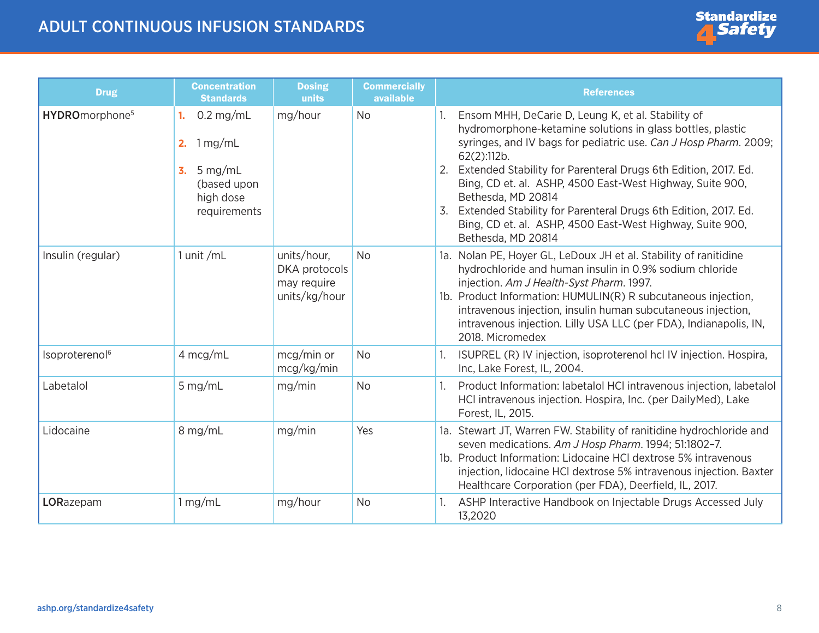| <b>Drug</b>                | <b>Concentration</b><br><b>Standards</b>                                                        | <b>Dosing</b><br>units                                       | <b>Commercially</b><br>available | <b>References</b>                                                                                                                                                                                                                                                                                                                                                                                                                                                                                                |
|----------------------------|-------------------------------------------------------------------------------------------------|--------------------------------------------------------------|----------------------------------|------------------------------------------------------------------------------------------------------------------------------------------------------------------------------------------------------------------------------------------------------------------------------------------------------------------------------------------------------------------------------------------------------------------------------------------------------------------------------------------------------------------|
| HYDROmorphone <sup>5</sup> | $0.2$ mg/mL<br>1.<br>1 mg/mL<br>2.<br>5 mg/mL<br>3.<br>(based upon<br>high dose<br>requirements | mg/hour                                                      | <b>No</b>                        | Ensom MHH, DeCarie D, Leung K, et al. Stability of<br>hydromorphone-ketamine solutions in glass bottles, plastic<br>syringes, and IV bags for pediatric use. Can J Hosp Pharm. 2009;<br>62(2):112b.<br>2. Extended Stability for Parenteral Drugs 6th Edition, 2017. Ed.<br>Bing, CD et. al. ASHP, 4500 East-West Highway, Suite 900,<br>Bethesda, MD 20814<br>Extended Stability for Parenteral Drugs 6th Edition, 2017. Ed.<br>Bing, CD et. al. ASHP, 4500 East-West Highway, Suite 900,<br>Bethesda, MD 20814 |
| Insulin (regular)          | 1 unit /mL                                                                                      | units/hour,<br>DKA protocols<br>may require<br>units/kg/hour | <b>No</b>                        | 1a. Nolan PE, Hoyer GL, LeDoux JH et al. Stability of ranitidine<br>hydrochloride and human insulin in 0.9% sodium chloride<br>injection. Am J Health-Syst Pharm. 1997.<br>1b. Product Information: HUMULIN(R) R subcutaneous injection,<br>intravenous injection, insulin human subcutaneous injection,<br>intravenous injection. Lilly USA LLC (per FDA), Indianapolis, IN,<br>2018. Micromedex                                                                                                                |
| Isoproterenol <sup>6</sup> | 4 mcg/mL                                                                                        | mcg/min or<br>mcg/kg/min                                     | <b>No</b>                        | ISUPREL (R) IV injection, isoproterenol hcl IV injection. Hospira,<br>Inc, Lake Forest, IL, 2004.                                                                                                                                                                                                                                                                                                                                                                                                                |
| Labetalol                  | $5$ mg/mL                                                                                       | mg/min                                                       | <b>No</b>                        | Product Information: labetalol HCI intravenous injection, labetalol<br>HCI intravenous injection. Hospira, Inc. (per DailyMed), Lake<br>Forest, IL, 2015.                                                                                                                                                                                                                                                                                                                                                        |
| Lidocaine                  | 8 mg/mL                                                                                         | mg/min                                                       | Yes                              | 1a. Stewart JT, Warren FW. Stability of ranitidine hydrochloride and<br>seven medications. Am J Hosp Pharm. 1994; 51:1802-7.<br>1b. Product Information: Lidocaine HCI dextrose 5% intravenous<br>injection, lidocaine HCI dextrose 5% intravenous injection. Baxter<br>Healthcare Corporation (per FDA), Deerfield, IL, 2017.                                                                                                                                                                                   |
| LORazepam                  | 1 mg/mL                                                                                         | mg/hour                                                      | <b>No</b>                        | ASHP Interactive Handbook on Injectable Drugs Accessed July<br>13,2020                                                                                                                                                                                                                                                                                                                                                                                                                                           |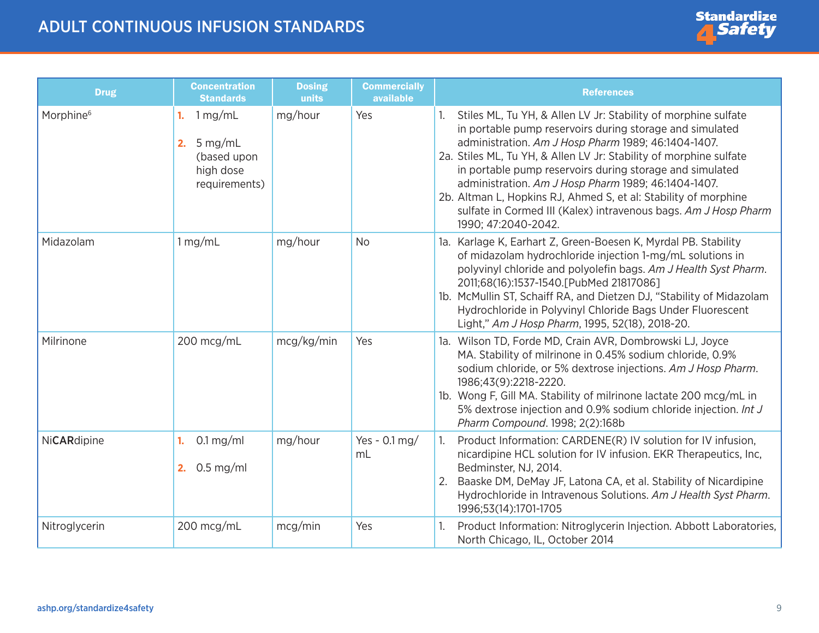| <b>Drug</b>           | <b>Concentration</b><br><b>Standards</b>                                      | <b>Dosing</b><br>units | <b>Commercially</b><br>available | <b>References</b>                                                                                                                                                                                                                                                                                                                                                                                                                                                                                                                       |
|-----------------------|-------------------------------------------------------------------------------|------------------------|----------------------------------|-----------------------------------------------------------------------------------------------------------------------------------------------------------------------------------------------------------------------------------------------------------------------------------------------------------------------------------------------------------------------------------------------------------------------------------------------------------------------------------------------------------------------------------------|
| Morphine <sup>6</sup> | 1 mg/mL<br>1.<br>$5$ mg/mL<br>2.<br>(based upon<br>high dose<br>requirements) | mg/hour                | Yes                              | Stiles ML, Tu YH, & Allen LV Jr: Stability of morphine sulfate<br>in portable pump reservoirs during storage and simulated<br>administration. Am J Hosp Pharm 1989; 46:1404-1407.<br>2a. Stiles ML, Tu YH, & Allen LV Jr: Stability of morphine sulfate<br>in portable pump reservoirs during storage and simulated<br>administration. Am J Hosp Pharm 1989; 46:1404-1407.<br>2b. Altman L, Hopkins RJ, Ahmed S, et al: Stability of morphine<br>sulfate in Cormed III (Kalex) intravenous bags. Am J Hosp Pharm<br>1990; 47:2040-2042. |
| Midazolam             | 1 mg/mL                                                                       | mg/hour                | <b>No</b>                        | 1a. Karlage K, Earhart Z, Green-Boesen K, Myrdal PB. Stability<br>of midazolam hydrochloride injection 1-mg/mL solutions in<br>polyvinyl chloride and polyolefin bags. Am J Health Syst Pharm.<br>2011;68(16):1537-1540. [PubMed 21817086]<br>1b. McMullin ST, Schaiff RA, and Dietzen DJ, "Stability of Midazolam<br>Hydrochloride in Polyvinyl Chloride Bags Under Fluorescent<br>Light," Am J Hosp Pharm, 1995, 52(18), 2018-20.                                                                                                     |
| Milrinone             | 200 mcg/mL                                                                    | mcg/kg/min             | Yes                              | 1a. Wilson TD, Forde MD, Crain AVR, Dombrowski LJ, Joyce<br>MA. Stability of milrinone in 0.45% sodium chloride, 0.9%<br>sodium chloride, or 5% dextrose injections. Am J Hosp Pharm.<br>1986;43(9):2218-2220.<br>1b. Wong F, Gill MA. Stability of milrinone lactate 200 mcg/mL in<br>5% dextrose injection and 0.9% sodium chloride injection. Int J<br>Pharm Compound. 1998; 2(2):168b                                                                                                                                               |
| NiCARdipine           | $0.1 \,\mathrm{mg/ml}$<br>1.<br>$0.5$ mg/ml<br>2.                             | mg/hour                | Yes - $0.1 \text{ mg}$ /<br>mL   | Product Information: CARDENE(R) IV solution for IV infusion,<br>1.<br>nicardipine HCL solution for IV infusion. EKR Therapeutics, Inc,<br>Bedminster, NJ, 2014.<br>Baaske DM, DeMay JF, Latona CA, et al. Stability of Nicardipine<br>Hydrochloride in Intravenous Solutions. Am J Health Syst Pharm.<br>1996;53(14):1701-1705                                                                                                                                                                                                          |
| Nitroglycerin         | 200 mcg/mL                                                                    | mcg/min                | Yes                              | Product Information: Nitroglycerin Injection. Abbott Laboratories,<br>North Chicago, IL, October 2014                                                                                                                                                                                                                                                                                                                                                                                                                                   |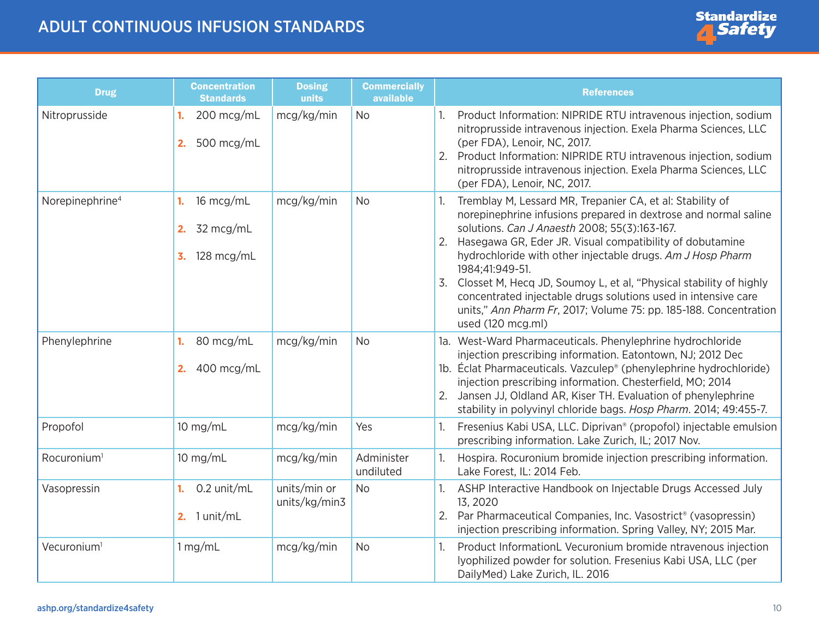| <b>Drug</b>                 | <b>Concentration</b><br><b>Standards</b>                                              | <b>Dosing</b><br>units        | <b>Commercially</b><br>available | <b>References</b>                                                                                                                                                                                                                                                                                                                                                                                                                                                                                                                                                  |
|-----------------------------|---------------------------------------------------------------------------------------|-------------------------------|----------------------------------|--------------------------------------------------------------------------------------------------------------------------------------------------------------------------------------------------------------------------------------------------------------------------------------------------------------------------------------------------------------------------------------------------------------------------------------------------------------------------------------------------------------------------------------------------------------------|
| Nitroprusside               | 200 mcg/mL<br>1.<br>500 mcg/mL<br>2.                                                  | mcg/kg/min                    | <b>No</b>                        | Product Information: NIPRIDE RTU intravenous injection, sodium<br>nitroprusside intravenous injection. Exela Pharma Sciences, LLC<br>(per FDA), Lenoir, NC, 2017.<br>Product Information: NIPRIDE RTU intravenous injection, sodium<br>2.<br>nitroprusside intravenous injection. Exela Pharma Sciences, LLC<br>(per FDA), Lenoir, NC, 2017.                                                                                                                                                                                                                       |
| Norepinephrine <sup>4</sup> | 16 mcg/mL<br>1.<br>2. $32 \text{ mcg/mL}$<br>$128 \text{ mcg/mL}$<br>$\overline{3}$ . | mcg/kg/min                    | <b>No</b>                        | Tremblay M, Lessard MR, Trepanier CA, et al: Stability of<br>norepinephrine infusions prepared in dextrose and normal saline<br>solutions. Can J Anaesth 2008; 55(3):163-167.<br>2. Hasegawa GR, Eder JR. Visual compatibility of dobutamine<br>hydrochloride with other injectable drugs. Am J Hosp Pharm<br>1984;41:949-51.<br>3. Closset M, Hecq JD, Soumoy L, et al, "Physical stability of highly<br>concentrated injectable drugs solutions used in intensive care<br>units," Ann Pharm Fr, 2017; Volume 75: pp. 185-188. Concentration<br>used (120 mcg.ml) |
| Phenylephrine               | 80 mcg/mL<br>1.<br>400 mcg/mL<br>2.                                                   | mcg/kg/min                    | <b>No</b>                        | 1a. West-Ward Pharmaceuticals. Phenylephrine hydrochloride<br>injection prescribing information. Eatontown, NJ; 2012 Dec<br>1b. Éclat Pharmaceuticals. Vazculep® (phenylephrine hydrochloride)<br>injection prescribing information. Chesterfield, MO; 2014<br>Jansen JJ, Oldland AR, Kiser TH. Evaluation of phenylephrine<br>2.<br>stability in polyvinyl chloride bags. Hosp Pharm. 2014; 49:455-7.                                                                                                                                                             |
| Propofol                    | 10 mg/mL                                                                              | mcg/kg/min                    | Yes                              | Fresenius Kabi USA, LLC. Diprivan <sup>®</sup> (propofol) injectable emulsion<br>1.<br>prescribing information. Lake Zurich, IL; 2017 Nov.                                                                                                                                                                                                                                                                                                                                                                                                                         |
| Rocuronium <sup>1</sup>     | $10$ mg/mL                                                                            | mcg/kg/min                    | Administer<br>undiluted          | Hospira. Rocuronium bromide injection prescribing information.<br>Lake Forest, IL: 2014 Feb.                                                                                                                                                                                                                                                                                                                                                                                                                                                                       |
| Vasopressin                 | 0.2 unit/mL<br>1.<br>2. $1$ unit/mL                                                   | units/min or<br>units/kg/min3 | <b>No</b>                        | ASHP Interactive Handbook on Injectable Drugs Accessed July<br>1.<br>13, 2020<br>Par Pharmaceutical Companies, Inc. Vasostrict <sup>®</sup> (vasopressin)<br>2.<br>injection prescribing information. Spring Valley, NY; 2015 Mar.                                                                                                                                                                                                                                                                                                                                 |
| Vecuronium <sup>1</sup>     | 1 mg/mL                                                                               | mcg/kg/min                    | <b>No</b>                        | Product InformationL Vecuronium bromide ntravenous injection<br>Iyophilized powder for solution. Fresenius Kabi USA, LLC (per<br>DailyMed) Lake Zurich, IL. 2016                                                                                                                                                                                                                                                                                                                                                                                                   |